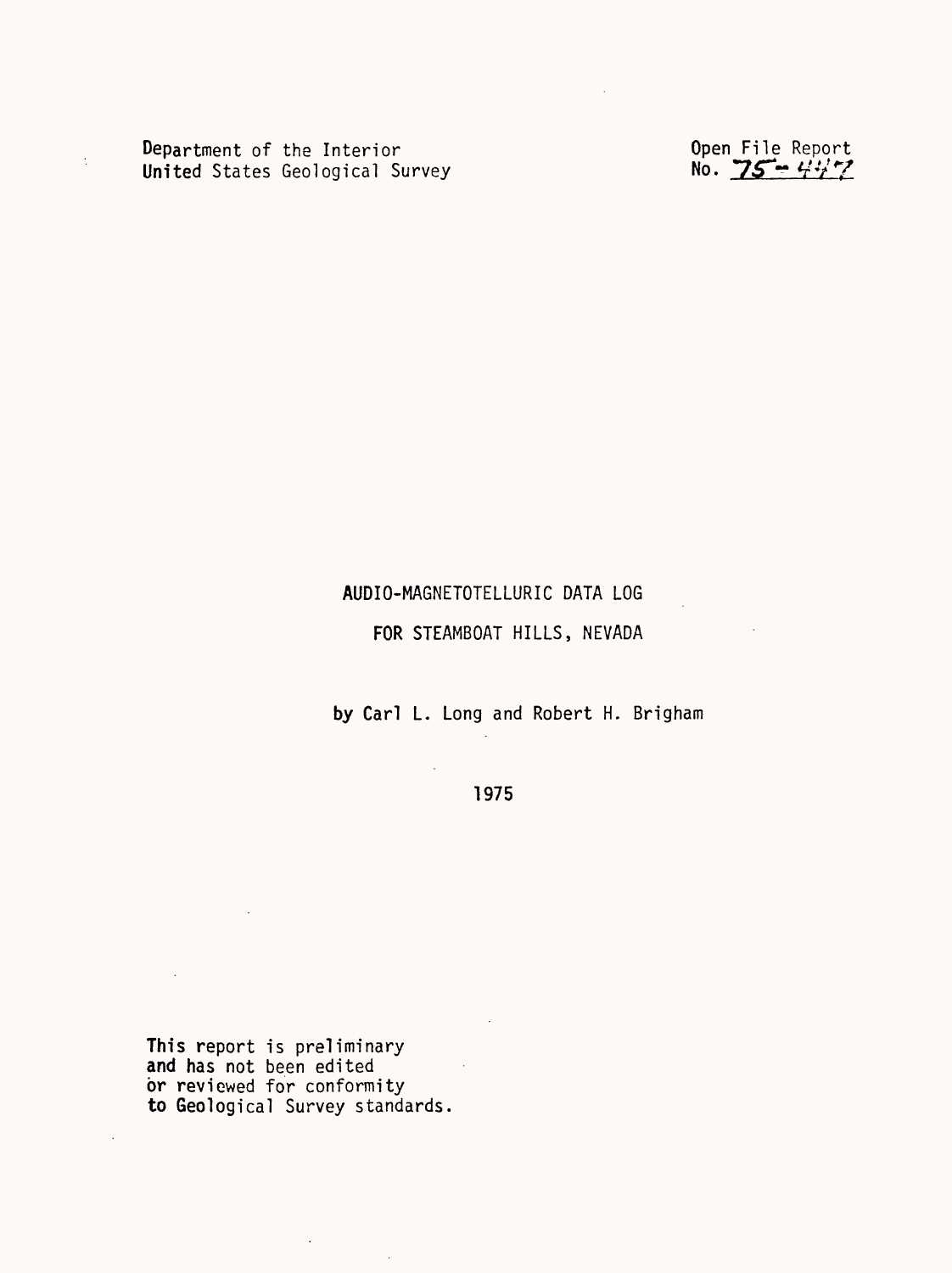Department of the Interior<br>United States Geological Survey No. 25 - Wy

 $\ddot{\cdot}$ 

## AUDIO-MAGNETOTELLURIC DATA LOG

## FOR STEAMBOAT HILLS, NEVADA

by Carl L. Long and Robert H. Brigham

1975

This report is preliminary and has not been edited or reviewed for conformity to Geological Survey standards.

 $\sim 10^{-1}$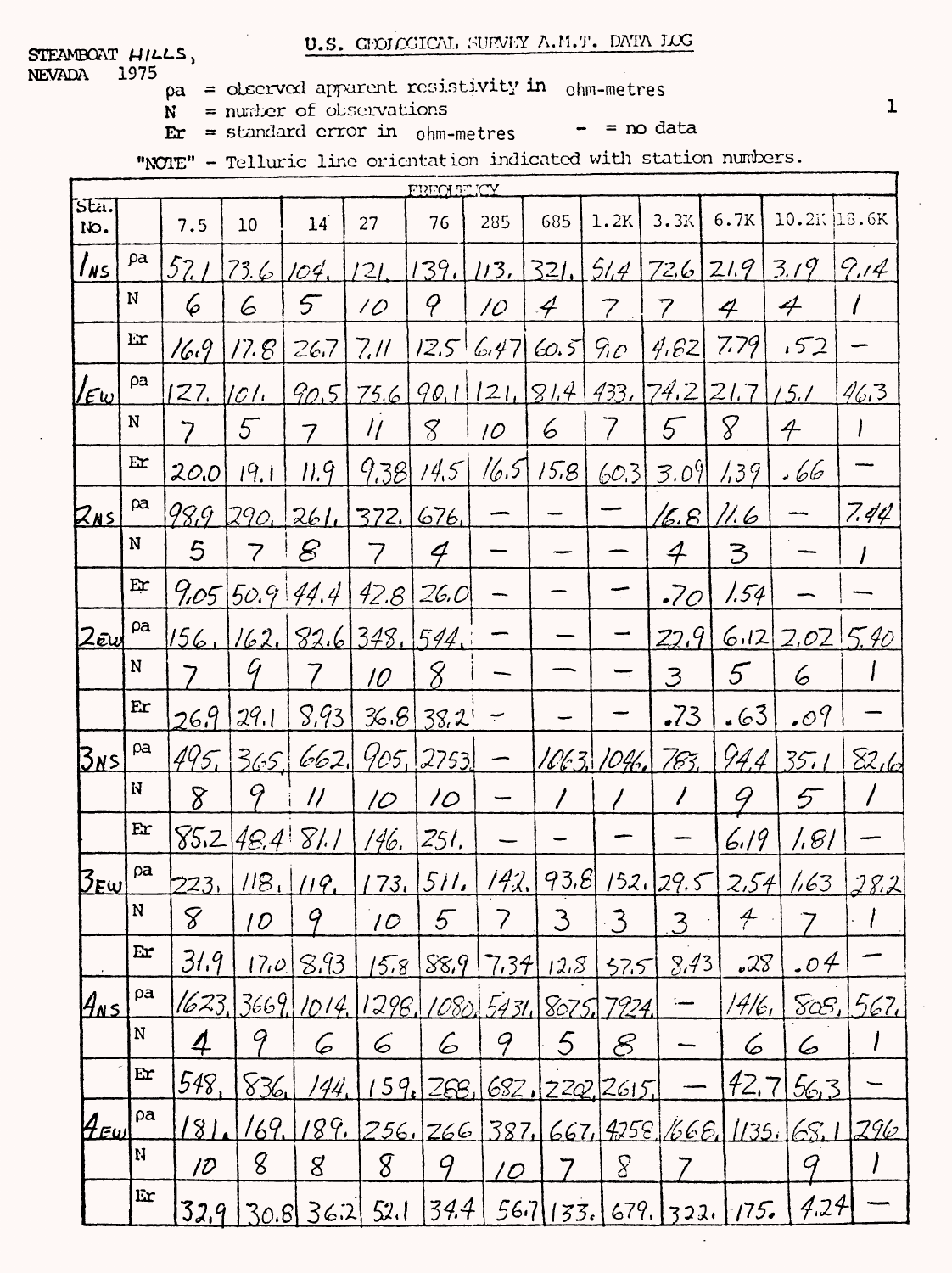## U.S. GEOLOGICAL SURVEY A.M.T. DATA LOG

STEAMBOAT HILLS, **NEVADA** 1975

- $pa =$  observed apparent resistivity in ohm-metres
- $N =$  number of observations

 $\mathbf{E} \mathbf{r} = \text{standard error in } \text{ohm-metres}$ 

 $- =$  no data

"NOTE" - Telluric line orientation indicated with station numbers.

|                                      | FRECHELICY  |               |                          |                     |             |                 |                 |               |                 |               |                          |                      |          |
|--------------------------------------|-------------|---------------|--------------------------|---------------------|-------------|-----------------|-----------------|---------------|-----------------|---------------|--------------------------|----------------------|----------|
| Stä.<br>No.                          |             | 7.5           | 10                       | 14                  | 27          | 76              | 285             | 685           | 1.2K            | 3.3K          | 6.7K                     | 10.2K 16.6K          |          |
| $1_{N5}$                             | pa          | 52/           | 73.6                     | 104.                | 121.        | 139.            | 113.            | $32L$         | 514             | 726 219       |                          | 3.19                 | 9.14     |
|                                      | $\mathbf N$ | 6             | 6                        | $\mathcal{F}$       | 10          | q               | 10              | $\mathcal{A}$ | 7               | 7             | 4                        | 4                    |          |
|                                      | Er          | 16.9          | $17.8^{\circ}$           | 26.7                | 7.11        |                 | $12.5$ 6.47     | (60.5)        | 90 <sub>o</sub> | 4.62          | 7.79                     | .52                  |          |
| lεω                                  | ρа          | 27.           | $ Cl_1 $                 | 90.5                | 75.6        |                 | 90,1121,1814    |               |                 | 433.74221.7   |                          | 15.1                 | 463      |
|                                      | N           | 7             | 5                        | 7                   | $\eta$      | 8               | 10 <sup>°</sup> | 6             |                 | 5             | 8                        | $\bm{\mathcal{A}}$   |          |
|                                      | Er          | 20.0          | 19.1                     | 11.9                | 9.38        | 14.5            | 16.5            | 15.8          | 60.31           | 3.09          | 1.39                     | . 66                 |          |
| $Z_{\texttt{NS}}$                    | ρa          | 98.9          | 1290.                    | 261                 | 372.        | 676.            |                 |               |                 | <u>16.8  </u> | 11.6                     |                      | 7.44     |
|                                      | N           | 5             | $\overline{\mathcal{C}}$ | $\mathcal{E}% _{0}$ |             | 4               |                 |               |                 | $\mathcal{A}$ | $\mathfrak{Z}$           |                      |          |
|                                      | Er          |               | 9.05550.9144.4           |                     | $42.8$ 26.0 |                 |                 |               |                 | .70           | 1.54                     |                      |          |
| 2ew                                  | pa          | 156.          | $162, 82.6$ 348, 544,    |                     |             |                 |                 |               |                 | 22.9          |                          | $6.12$ $2.02$ $5.40$ |          |
|                                      | N           | 7             | Ý                        |                     | 10          | 8               |                 |               |                 | 3             | 5                        | 6                    |          |
|                                      | Er          | 26.9          | 29.1                     | 8,93                | 36.8        | 38.2            | $\div$          |               |                 | $-73$         | .63                      | .09                  |          |
| <u> Znsi</u>                         | pa          | 495           | 365.                     | 662                 |             | 905, 2753       |                 |               | 1063, 1046,     | 763,          | 94,4                     | 35.1                 | 82/6     |
|                                      | $\mathbf N$ | $\delta$      | 9                        | $\prime\prime$      | 10          | $\overline{10}$ |                 |               |                 | $\prime$      | 9                        | 5                    | $\prime$ |
|                                      | Er          | 85.2          | 48.4 81.1                |                     | 146.        | 251,            |                 |               |                 |               | 6.19                     | 81                   |          |
| $\mathcal{B}_{\mathsf{E}\mathsf{w}}$ | ρa          | 223.          | 118.                     | 119.                | '73.        | <u>511.</u>     | 142.            | 93.8          |                 | 152.29.5      | 2,54                     | 1,63                 | 28.2     |
|                                      | N           | $\mathcal{S}$ | 10                       | 9                   | 10          | 5               |                 | 3             | $\cdot$ 3       | 3             | $\overline{\mathcal{F}}$ |                      |          |
|                                      | Er          | 31.9          | $ 7\rho $                | <u>8.93</u>         | 15.8        | 88.9            | 7,34            | 12.8          | 575             | 8.43          | .28                      | .04                  |          |
| 4ns                                  | ρa          | 1623,         |                          | 3669, 1014.         | 1298.       | 1080.           | 5431            | 8075.         | 7924.           | :             | 14/6,                    | $S\alpha S$          | 567.     |
|                                      | N           | 4             | 9                        | 6                   | 6           | 6               | 9               | 5             | 8               |               | 6                        | 6                    |          |
|                                      | Er          | 548,          | 826                      | 144.                | 159         | <u> 268.</u>    |                 |               | 682, 220, 2615, |               | 42.7                     | <u>56,3</u>          |          |
| 4 Eul                                | ρa          | 81            | 169.                     | 89.                 |             | 256. 266        | <u>387. l</u>   |               | 667/4258        |               | 1666. [135.]             | 68. I                | 296      |
|                                      | N           | 10            | 8                        | 8                   | 8           | 9               | <u> 10</u>      |               | $\underline{S}$ |               |                          | G                    |          |
|                                      | Er          | 32,9          |                          | $30.8$ $36.2$       | 52.1        | 34.4            |                 | 567/133.      |                 | $679.$ 322.   | 175.                     | 4.24                 |          |

 $\mathbf{I}$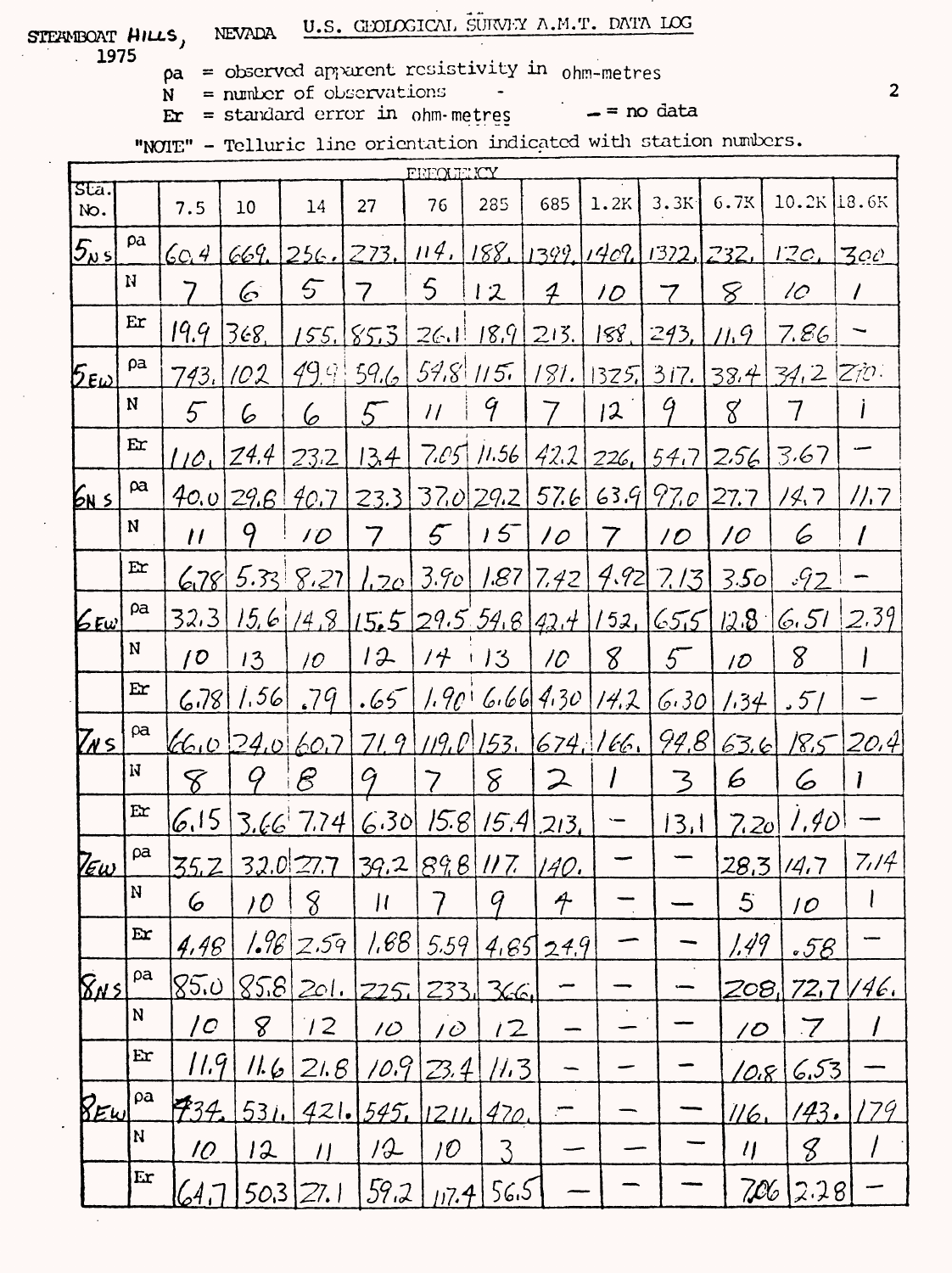STEANBOAT HILLS, NEVADA  $1975$ 

 $pa = observed$  apparent resistivity in ohm-metres

 $N =$  number of observations

 $\mathbf{Er} = \mathbf{standard} \text{ error in } \text{ohm-metres}$ 

 $=$  no data

"NOIE" - Telluric line orientation indicated with station numbers.

U.S. GLODOGICAL SURVEY A.M.T. DATA LOG

| FREOLITICY<br>sta.                                               |                                                    |      |                                                                             |                                                                      |                                                                                                                         |                                                                  |                                                                                                                      |                                  |                                                                                |                                                        |                                                                                                                                                                                                  |                                                                                                                                                                                                                                                           |
|------------------------------------------------------------------|----------------------------------------------------|------|-----------------------------------------------------------------------------|----------------------------------------------------------------------|-------------------------------------------------------------------------------------------------------------------------|------------------------------------------------------------------|----------------------------------------------------------------------------------------------------------------------|----------------------------------|--------------------------------------------------------------------------------|--------------------------------------------------------|--------------------------------------------------------------------------------------------------------------------------------------------------------------------------------------------------|-----------------------------------------------------------------------------------------------------------------------------------------------------------------------------------------------------------------------------------------------------------|
|                                                                  | 7.5                                                | 10   | 14                                                                          | 27                                                                   | 76                                                                                                                      | 285                                                              | 685                                                                                                                  | 1.2K                             | 3.3K                                                                           | 6.7K                                                   |                                                                                                                                                                                                  |                                                                                                                                                                                                                                                           |
| pa                                                               | 60.4                                               | 669. |                                                                             |                                                                      |                                                                                                                         |                                                                  |                                                                                                                      |                                  |                                                                                |                                                        | 12c.                                                                                                                                                                                             | 300                                                                                                                                                                                                                                                       |
| $\boldsymbol{\mathrm{N}}$                                        | 7                                                  | 6    | 5                                                                           | 7                                                                    | 5                                                                                                                       | 12                                                               | 4                                                                                                                    | 10                               | 7                                                                              | 8                                                      | 10                                                                                                                                                                                               | $\prime$                                                                                                                                                                                                                                                  |
| Er                                                               | 19.9                                               | 368, | 155.                                                                        |                                                                      |                                                                                                                         |                                                                  | 213.                                                                                                                 | 158.                             | 243,                                                                           | $\mu$ 9                                                | 7.86                                                                                                                                                                                             |                                                                                                                                                                                                                                                           |
| pa                                                               | 743.                                               | 102  |                                                                             | 59.6                                                                 |                                                                                                                         |                                                                  | 181.                                                                                                                 |                                  |                                                                                |                                                        |                                                                                                                                                                                                  |                                                                                                                                                                                                                                                           |
| N                                                                | 5                                                  | 6    | 6                                                                           | 5                                                                    | $\mathcal{U}$                                                                                                           | 9                                                                |                                                                                                                      | 12                               | Ý                                                                              | $8^{\circ}$                                            | 7                                                                                                                                                                                                |                                                                                                                                                                                                                                                           |
| Er                                                               | 110 <sub>1</sub>                                   | Z4.4 | 23.2                                                                        | 13.4                                                                 |                                                                                                                         |                                                                  |                                                                                                                      |                                  |                                                                                |                                                        | 3.67                                                                                                                                                                                             |                                                                                                                                                                                                                                                           |
| $\alpha$                                                         |                                                    |      |                                                                             |                                                                      |                                                                                                                         |                                                                  |                                                                                                                      |                                  |                                                                                | 27.7                                                   | 14.7                                                                                                                                                                                             | 11.7                                                                                                                                                                                                                                                      |
| N                                                                | $\overline{U}$                                     | 9    | 10 <sup>o</sup>                                                             | 7                                                                    | 5 <sup>7</sup>                                                                                                          | $15-$                                                            | 10                                                                                                                   | 7                                | $\overline{\prime}$                                                            | 10                                                     | 6                                                                                                                                                                                                |                                                                                                                                                                                                                                                           |
| Ex                                                               |                                                    |      |                                                                             |                                                                      |                                                                                                                         |                                                                  |                                                                                                                      |                                  |                                                                                |                                                        | $\sqrt{92}$                                                                                                                                                                                      |                                                                                                                                                                                                                                                           |
| pa                                                               |                                                    |      |                                                                             |                                                                      |                                                                                                                         |                                                                  |                                                                                                                      |                                  |                                                                                |                                                        |                                                                                                                                                                                                  | 2.39                                                                                                                                                                                                                                                      |
| N                                                                | $\overline{O}$                                     | 13   | 10 <sup>°</sup>                                                             | 12                                                                   | $/ \nmid$                                                                                                               |                                                                  | 10                                                                                                                   | 8                                | 5                                                                              | 10                                                     | 8                                                                                                                                                                                                |                                                                                                                                                                                                                                                           |
| $E$ r                                                            |                                                    |      | .79                                                                         |                                                                      |                                                                                                                         |                                                                  |                                                                                                                      |                                  |                                                                                |                                                        | 57/                                                                                                                                                                                              |                                                                                                                                                                                                                                                           |
| $\alpha$                                                         |                                                    |      |                                                                             |                                                                      |                                                                                                                         |                                                                  |                                                                                                                      |                                  |                                                                                |                                                        |                                                                                                                                                                                                  | <u>185 20.4</u>                                                                                                                                                                                                                                           |
| N                                                                | 8                                                  | Ý    | E                                                                           |                                                                      | 7                                                                                                                       | 8                                                                | $\mathcal{Z}$                                                                                                        |                                  | $\mathcal{Z}$                                                                  | 6                                                      | 6                                                                                                                                                                                                |                                                                                                                                                                                                                                                           |
| Er                                                               |                                                    |      |                                                                             |                                                                      |                                                                                                                         |                                                                  |                                                                                                                      | $\overline{\phantom{0}}$         |                                                                                |                                                        |                                                                                                                                                                                                  |                                                                                                                                                                                                                                                           |
| ρa                                                               |                                                    |      |                                                                             |                                                                      |                                                                                                                         |                                                                  |                                                                                                                      |                                  |                                                                                |                                                        | 14.7                                                                                                                                                                                             | 7/14                                                                                                                                                                                                                                                      |
| N                                                                | 6                                                  | 10   | 8                                                                           | $\mu$                                                                |                                                                                                                         | Ч                                                                | $\hat{\tau}$                                                                                                         |                                  |                                                                                | $\overline{5}$                                         | 10                                                                                                                                                                                               |                                                                                                                                                                                                                                                           |
| Er                                                               |                                                    |      |                                                                             |                                                                      |                                                                                                                         |                                                                  |                                                                                                                      |                                  |                                                                                |                                                        |                                                                                                                                                                                                  |                                                                                                                                                                                                                                                           |
| ρa                                                               |                                                    |      |                                                                             |                                                                      |                                                                                                                         |                                                                  |                                                                                                                      |                                  |                                                                                |                                                        |                                                                                                                                                                                                  | 146.                                                                                                                                                                                                                                                      |
| ${\bf N}$                                                        | C                                                  | 8    | $\frac{1}{2}$                                                               | 10 <sup>2</sup>                                                      |                                                                                                                         |                                                                  |                                                                                                                      |                                  |                                                                                |                                                        | $\overline{\mathcal{J}}$                                                                                                                                                                         |                                                                                                                                                                                                                                                           |
| $\mathbf{E}$ r                                                   |                                                    |      |                                                                             |                                                                      |                                                                                                                         |                                                                  |                                                                                                                      |                                  |                                                                                |                                                        |                                                                                                                                                                                                  |                                                                                                                                                                                                                                                           |
| ρa                                                               |                                                    |      |                                                                             |                                                                      |                                                                                                                         |                                                                  |                                                                                                                      |                                  |                                                                                |                                                        |                                                                                                                                                                                                  | 179                                                                                                                                                                                                                                                       |
| N                                                                | 10 <sub>1</sub>                                    | 12   | $\prime$                                                                    | 12                                                                   | 10 <sup>°</sup>                                                                                                         | 3                                                                |                                                                                                                      |                                  |                                                                                | $\eta$                                                 | 8                                                                                                                                                                                                |                                                                                                                                                                                                                                                           |
| Er                                                               |                                                    |      | 27.1                                                                        |                                                                      |                                                                                                                         |                                                                  |                                                                                                                      |                                  |                                                                                |                                                        |                                                                                                                                                                                                  |                                                                                                                                                                                                                                                           |
| $\mathfrak{E}_{\sf E}\omega$<br>$\mathcal{E}_{\mathsf{E}\omega}$ | $Z_{\ell}$ s'<br>TEw<br><u> 845 </u><br><u>REw</u> |      | 678<br>32.3<br>6.781<br>6.15<br>35.2<br>4,48<br>85.0<br>11.9<br>734<br>64.7 | 15.61/4.8<br>1.56<br><u>32.0 27.7</u><br>1.96<br>11.6<br>531<br>50,3 | [256, 273]<br>85.3<br>49.9<br>40.0 29.6 40.7 <br>5.33   8.27 <br>460240607<br>$3.66$ 7.74<br>2.59<br>$858$ 201.<br>21.6 | .65<br>71.9<br> .68 <br>225.<br><u> 10.</u> 9<br>421.545<br>59.2 | 26.1118.9<br>$59.8$ 115.<br>$+13$<br>39.2 89.8 117.<br>5.59<br>2331<br><u> 10 </u><br>[23.4]<br>  2  <br>ון $7.4\pm$ | 366<br>12<br>113<br>470.<br>56.5 | $1.20$ 3.90   1.87   7.42  <br>$6.30$ $15.8$ $15.4$ $213.$<br>140.<br>4.6524.9 | 4.92<br>1.90:6.66 4.30 14.2 <br>$119.0$ 153. 674. 166. | 114.  188.  1399.  1409.  1322.  232.<br> 325 317 38.4 <br>$7.05$ $11.56$ $42.2$ $226$ , $54.7$ $2.56$<br>23.3 37.0 29.2 57.6 63.9 97.0 <br>7/3<br>15,5 29.5 54.8 42.4 152, 65,5<br>6.30<br>13.1 | $10.2K$ 18.6K<br>$34.2$ $270.$<br>3.50<br>$12.8^{\circ}$<br>6.51<br>1.34<br>94.863.6<br>1,40<br>7.20<br><u> 28,3 </u><br>1.49<br><u> 58</u><br>72,7<br><u> 208, </u><br>$\overline{\mathcal{O}}$<br>6.53<br><u> 10.8 </u><br>143.<br>116<br>706<br>[2.28] |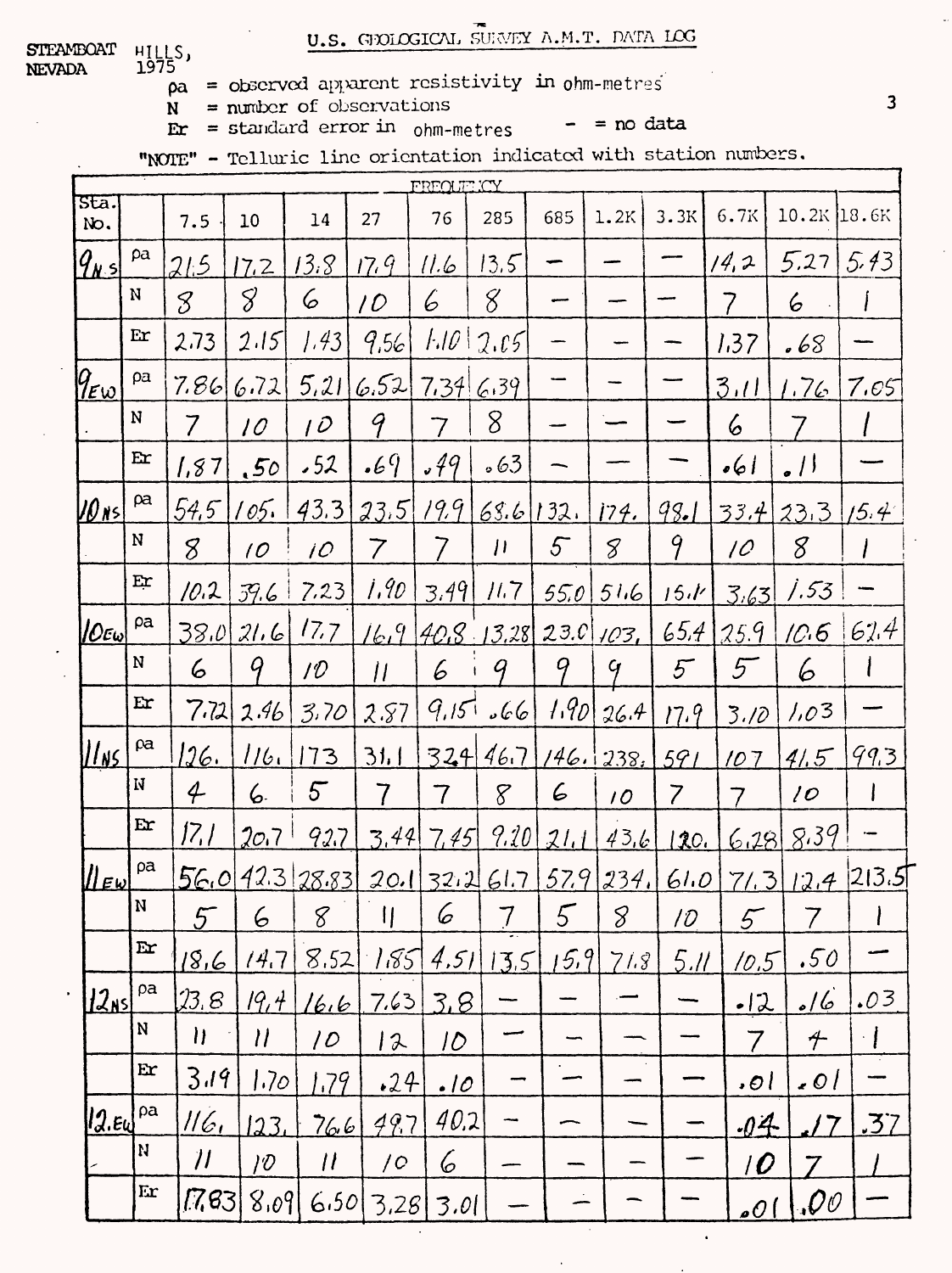**STEAMBOAT** HILLS,<br>1975 **NEVADA** 

 $\rho$ a = observed apparent resistivity in ohm-metres

= number of observations  $N$  $\mathbf{E} \mathbf{r}$  = standard error in ohm-metres

 $-$  = no data

"NOTE" - Telluric line orientation indicated with station numbers.

|                        | FREQUE ICY              |                                                           |                                                           |                     |                          |                            |                |                   |               |                |                 |                     |           |
|------------------------|-------------------------|-----------------------------------------------------------|-----------------------------------------------------------|---------------------|--------------------------|----------------------------|----------------|-------------------|---------------|----------------|-----------------|---------------------|-----------|
| Sta.<br>No.            |                         | 7.5                                                       | 10                                                        | 14                  | 27                       | 76                         | 285            | 685               | 1.2K          | 3.3K           | 6.7K            | $10.2K$ 18.6K       |           |
| $q_{\mu s}$            | pa                      | 21.5                                                      | 17.2                                                      | 13.8                | 17.9                     | 11.6                       | 13.5           |                   |               |                | 14,2            | 5.27                | 5.43      |
|                        | N                       | 8                                                         | 8                                                         | 6                   | 10                       | 6                          | 8              |                   |               |                | 7               | 6                   |           |
|                        | Er                      | 2.73                                                      | 2.15                                                      | 1.43                | 9,56                     | 1.10                       | 2.05           |                   |               |                | 1.37            | .68                 |           |
| $9_{E\omega}$          | ρa                      | 7.86                                                      | 6.72                                                      | 5,21                | 6.52                     | 7.34                       | 6.39           |                   |               |                | 3.11            | 1.76                | 7.65      |
|                        | N                       | $\overline{7}$                                            | 10 <sup>°</sup>                                           | 10                  | 9                        | 7                          | 8              |                   |               |                | 6               |                     |           |
|                        | Er                      | 1,87                                                      | .50 <sub>1</sub>                                          | .52                 | .69                      | .49                        | 563            |                   |               |                | $  \cdot  $     | $\mathcal{L}$       |           |
| <u>  20 Ns  </u>       | $\beta$ a               | 54,5                                                      | 105.                                                      | 43.3                | $23.5$ $19.9$            |                            | 68.6 132. 174. |                   |               | 98.1           |                 | $33.4$ 23.3 $1/5.4$ |           |
|                        | N                       | 8                                                         | $\overline{O}$                                            | 10 <sup>°</sup>     | $\overline{\mathcal{V}}$ | 7                          | $\mu$          | 5 <sup>7</sup>    | 8             | 9              | $\overline{C}$  | 8                   |           |
|                        | Er                      | 10.2                                                      | 39.6                                                      | 7.23                | 1.90                     | 3.49                       | 11.7           | <u>55.0  </u>     | 516           | 15.1           | 3.63            | 1.53                |           |
| $ O \varepsilon$ w $ $ | pa                      | 38.0                                                      | 21.6                                                      | 17.7                | 16.9                     |                            | [40.8, 13.28]  |                   | $23.0$ 103,   | 65.4           | 25.9            | 10.6                | 62.4      |
|                        | ${\bf N}$               | 6                                                         | 9                                                         | 1 D                 | I                        | 6                          | 9              | 9                 | $\mathcal{G}$ | $5\overline{}$ | 5               | 6                   |           |
|                        | $E$ r                   | 7.72                                                      | 2.46                                                      | 3.70                | 2.87                     | 9,15                       | 566            | 1.90 <sub>1</sub> | 26.4          | 17.9           | 3.10            | 1,03                |           |
| <u>  ns</u>            | $\alpha$                | <u> 126. </u>                                             | 116.                                                      | 173                 | <u>31, 1</u>             | 324                        | 46.7           |                   | 146.1238.     | 591            | 107             | 41.5                | 99.3      |
|                        | N                       | $\mathcal{L}$                                             | 6.                                                        | 5 <sup>7</sup>      | 7                        | 7                          | 8              | 6                 | 10            | 7              | 7               | 10                  |           |
|                        | E                       | 17,1                                                      | 20.7                                                      | 92.7                | 3,44                     | 7,45                       | 9.20           | 21.1              | 436           | 120.           | 6.28            | 8.39                |           |
| $\ \mu_{\text{EW}}\ $  | ρa                      |                                                           | 56.012.3                                                  | 28.83               |                          |                            | 20.132.261.7   |                   | 57.9 234.     | 61.0           | 7/3             | 12.4                | [213.5]   |
|                        | N                       | 5                                                         | 6                                                         | 8                   | П                        | 6                          |                | 5                 | 8             | 10             | 5               | 7                   |           |
|                        | $\mathbf{E}$            | <u>18,6</u>                                               | 14.7                                                      | 8.52                | 1.85                     | 4,51                       | 13.5           | 15.9              | 71.8          | 5.11           | 10.5            | .50                 |           |
| <u> 12nsl</u>          | pa                      | 23.8                                                      | 19, 4                                                     | <u>16,6</u>         | 7.63                     | 3.8                        |                |                   |               |                | <u>.12</u>      | <u> 16</u>          | .03       |
|                        | N                       | $\boldsymbol{\mathsf{H}}$                                 | $\mathcal{U}% _{M_{1},M_{2}}^{\alpha,\beta}(\varepsilon)$ | $\overline{\prime}$ | 12                       | $\overline{1}\overline{0}$ |                |                   |               |                | 7               | $\bm{\mathcal{F}}$  | $\cdot$ [ |
|                        | Er                      | 3.19                                                      | 1.7 <sub>O</sub>                                          | 1.79                | .24                      | <u>.10</u>                 |                |                   |               |                | .01             | 101                 |           |
| 12.5                   | ρa                      | 116,                                                      | 123,                                                      | <u>766</u>          | 497                      | 40.2                       |                |                   |               |                | $-04$           |                     | .37       |
|                        | N.                      | $\mathcal{H}% _{M_{1},M_{2}}^{\alpha,\beta}(\varepsilon)$ | $\partial$                                                | $\boldsymbol{l}$    | $\sqrt{C}$               | 6                          |                |                   |               |                | $\overline{10}$ |                     |           |
|                        | $\mathbf{E} \mathbf{r}$ | [7,63]                                                    | 8.09                                                      | 6.50                | 3,28                     | 3.01                       |                |                   |               |                | <u> 01ء</u>     | .00                 |           |

 $\overline{\mathbf{3}}$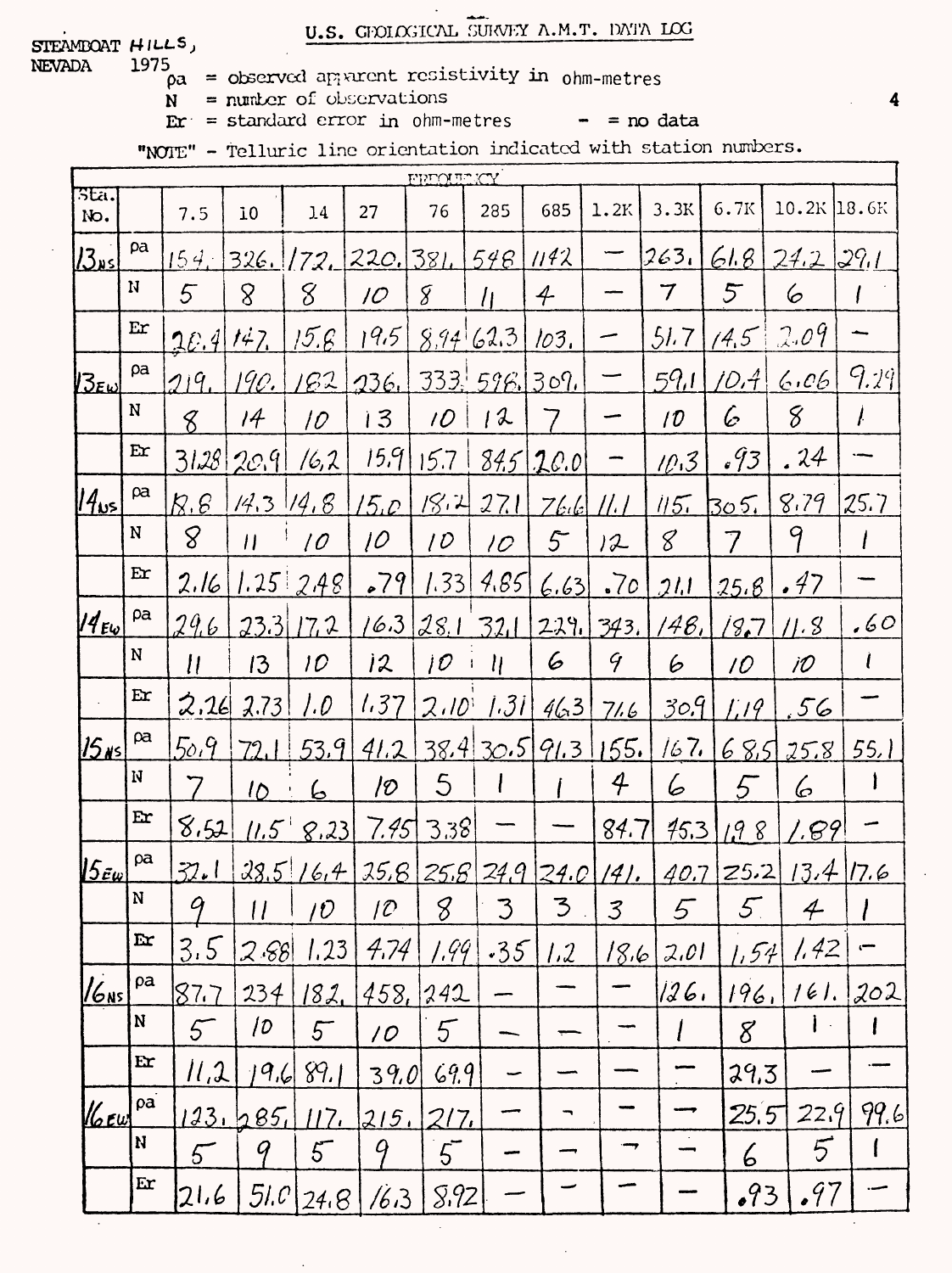U.S. GENERAL SURVEY A.M.T. DATA LOG

STEAMBOAT HILLS, NEVADA

- 1975  $\rho a = \text{observed}$  apparent resistivity in ohm-metres
	- $N =$  number of observations
	- $E r =$  standard error in ohm-metres  $-$  = no data
		-

"NOTE" - Telluric line orientation indicated with station numbers.

|                          | <b>VOLTO DE CY</b>  |                  |                    |                                                      |                     |                 |                          |                |               |                 |                 |                          |               |
|--------------------------|---------------------|------------------|--------------------|------------------------------------------------------|---------------------|-----------------|--------------------------|----------------|---------------|-----------------|-----------------|--------------------------|---------------|
| 3E <sub>1</sub><br>No.   |                     | 7.5              | 10                 | 14                                                   | 27                  | 76              | 285                      | 685            | 1.2K          | 3.3K            | 6.7K            | $10.2K$ 18.6K            |               |
| $J$ دىر                  | pa                  |                  | $154.$ 326. [72]   |                                                      | 220.381             |                 | 548                      | 1142           |               | 263.            | 61.8            | 242291                   |               |
|                          | N                   | 5                | 8                  | 8                                                    | 10 <sup>°</sup>     | 8               | İι                       | 4              |               | 7               | $5^{\circ}$     | 6                        |               |
|                          | $E$ r               | 2E.4             | 142                | 15.6                                                 | 19.5                | 8.94            | 62.3                     | 103.           |               | 51.7            | 14.5            | 2.09                     |               |
| $25$ EW                  | pa                  | 719.             | 190.               | 162                                                  | 236.                |                 | 333.596.307.             |                |               | 59,1            | 70,4\           | 6.06                     | 9.29          |
|                          | N                   | 8                | 14                 | 10                                                   | 13                  | 10              | 12                       |                |               | 10 <sup>°</sup> | G               | 8                        | ŀ             |
|                          | Er                  | 3128             | 20.9               | 16,2                                                 | 15.9                | 15.7            |                          | $84,5$   20.0  |               | 10.3            | 693             | . 24                     |               |
| $ 14_{\nu5} $            | $\beta$ a           | $R, \mathcal{E}$ | $14.3$ $14.8$      |                                                      | 15.0                | 18.4            | 27.11                    | 766            | 11. I         | 115.            | 305.            | 8.79                     | 25.7          |
|                          | ${\bf N}$           | 8                | $\boldsymbol{\mu}$ | $\overline{\mathcal{O}}$                             | 10 <sup>°</sup>     | 10              | 10 <sup>°</sup>          | 5 <sup>2</sup> | 72            | 8               | 7               | 9                        |               |
|                          | Er                  | 2.16             |                    | $1.25$ $2.48$                                        | .79                 | 1.33            | 4.85                     | 6.63           | .70           | <u> 21.1 </u>   | 25.8            | .47                      |               |
| $14_{E\omega}$           | $\rho$ a            | 29.6             |                    | $23.3$ $17.2$                                        |                     |                 | $16.3$ 28.1 32.1         |                | 229.   343.   | 48,             | (8,7)           | 11.8                     | .60           |
|                          | N                   | $\mathcal{U}$    | 13                 | 10 <sup>°</sup>                                      | 12                  | 10 <sup>°</sup> | $\eta$                   | 6              | $\mathcal{G}$ | 6               | 10              | 1O                       | $\ell$        |
|                          | Er                  | 2.16             | 2.73               | 1.O                                                  | 1.37                | $2.10^{1}$      | 1.31                     | 463            | 71.6          | 30.9            | 1.19            | .56                      |               |
| 15ns                     | $\beta a$           | 50.9             | 72.1               | 53.9                                                 | 41.2                |                 | 38.430.591.3             |                | 155.          | 167.            | 68.5            | 25.8                     | 55.           |
|                          | N                   | 7                | 10 <sub>1</sub>    | 6                                                    | ව                   | 5               |                          |                | 4             | 6               | 5               | 6                        |               |
|                          | Er                  | 8.52             |                    | $11.5$ 8.23                                          | 7.45                | 3.38            |                          |                | 84.7          | 45.3            | 1.98            | <u>1.B9</u>              |               |
| $ 5_{\tilde{e} \omega} $ | pa                  | <u>ا م72</u>     |                    | 28.516.4                                             |                     |                 | 25.8 25.8 24.9 24.0 141. |                |               |                 | $40.7$ 25.2     |                          | $13.4$ $17.6$ |
|                          | ${\bf N}$           | 9                |                    | $\left  \begin{array}{c c} 11 & \end{array} \right $ | 10                  | 8 <sup>1</sup>  | 3                        | 3              | 3             | 5               | $5\overline{)}$ | $4 -$                    |               |
|                          | $\mathbf{r}$        | 3.5              | 2.88               | 1.23                                                 | 4,74                | 1.99            | $-35$                    | 1.2            | 18,6          | 2.01            | [.54]           | 1.42                     |               |
| $ V_{\rm ONS} $          | pa                  | 87.7             | 234                | 182.                                                 | 458,                | 242             |                          |                |               | 126,            | 196.            | 161.                     | 202           |
|                          | ${\bf N}$           | 5 <sup>6</sup>   | 10                 | $5-$                                                 | $\overline{\prime}$ | 5               |                          |                |               | l               | 8               | $\mathbf{I}$<br>$\alpha$ |               |
|                          | $\mathbf{E}$        | 11.2             | 19.6               | 89.1                                                 | 39.0                | 69.9            |                          |                |               |                 | 29.3            |                          |               |
| $\mathscr{U}$ cw         | $\overline{\rho}$ a |                  | 123.285            | 117 <sub>4</sub>                                     | 215.                | 217.            |                          |                |               |                 | 25.5            | 22.9                     | 99.6          |
|                          | N                   | 5 <sup>7</sup>   | q                  | $5-$                                                 | 9                   | $5-$            |                          |                | ⇜             |                 | 6               | $5\overline{}$           |               |
|                          | Er                  | 21.6             | 51.0               | 24.8                                                 | 16.3                | 5.92            |                          |                |               |                 | .93             | .97                      |               |
|                          |                     |                  |                    |                                                      |                     |                 |                          |                |               |                 |                 |                          |               |

4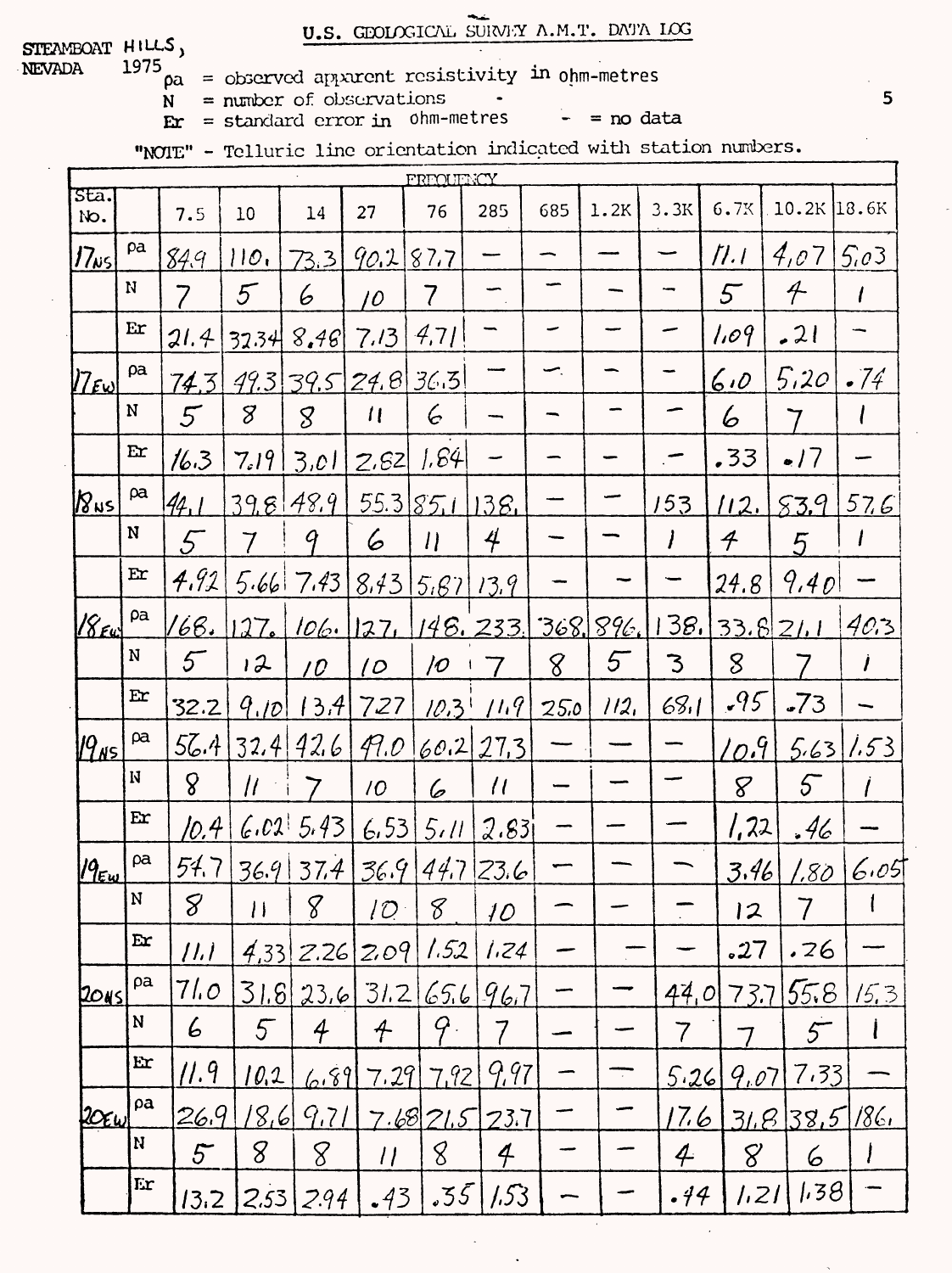U.S. GEOLOGICAL SURVEY A.M.T. DATA LOG

STEAMBOAT HILLS, NEVADA

1975  $\rho a =$  observed apparent resistivity in ohm-metres

= number of observations  $N$ 

 $\mathbf{E} \mathbf{r} = \text{standard error in }$  ohm-metres

 $-$  = no data

"NOIE" - Telluric line orientation indicated with station numbers.

|                  | FREOUTNCY   |                |                  |                           |                           |                          |                          |      |                 |                          |                               |                          |              |
|------------------|-------------|----------------|------------------|---------------------------|---------------------------|--------------------------|--------------------------|------|-----------------|--------------------------|-------------------------------|--------------------------|--------------|
| sta.<br>No.      |             | 7.5            | 10               | 14                        | 27                        | 76                       | 285                      | 685  | 1.2K            | 3.3K                     | 6.7K                          | $10.2K$ 18.6K            |              |
| 17 <sub>w5</sub> | pa          | <u>849.</u>    | 110.             | 73.3                      | 90.2                      | 87.7                     |                          |      |                 |                          | $\mathcal{H}$ . $\mathcal{I}$ | 4,07                     | 5.03         |
|                  | N           | 7              | 5 <sup>7</sup>   | 6                         | 10                        | $\overline{\mathcal{U}}$ |                          |      |                 |                          | $5^{\circ}$                   | $\overline{\mathcal{F}}$ |              |
|                  | Er          | 21.4           | 32.34            | 8,46                      | 7.13                      | 4,71                     |                          |      |                 |                          | 1.09                          | 21                       |              |
| $ Z_{E\omega} $  | pa          | 74.3           |                  | 99.3 39.5 24.8 36.3       |                           |                          |                          |      |                 |                          | 6.0                           | 5,20                     | .74          |
|                  | N           | $5\overline{}$ | 8                | $\mathcal{S}_{0}$         | $\mathcal{U}$             | 6                        |                          |      |                 |                          | 6                             |                          |              |
|                  | Er          | 16.3           | 7.19             | 3.01                      | 2.62                      | 1.64                     |                          |      |                 |                          | .33                           | .17                      |              |
| $8\nu s$         | pa          | 44.1           |                  | 398489                    |                           | 55.3851138               |                          |      |                 | 153                      | 112.                          | 83.9                     | 576          |
|                  | N           | 5              | 7                | 9                         | 6                         | $\eta$                   | 4                        |      |                 | $\prime$                 | $\boldsymbol{\mathcal{F}}$    | 5                        |              |
|                  | Er          | 4.92           |                  | $5.66$ 7.43 $8.43$ $5.67$ |                           |                          | 13.9                     |      |                 |                          | 24.8                          | 9.40                     |              |
| $18\epsilon$ u   | ρa          | 168.           | 127 <sub>e</sub> |                           |                           |                          | 106. 127, 148. 233.      |      | <u>368,896.</u> | <u>138. l</u>            |                               | 33.821.1                 | 40.3         |
|                  | ${\bf N}$   | 5 <sup>7</sup> | 12               | 10 <sup>°</sup>           | $\overline{O}$            | $\overline{\mathcal{O}}$ | 7                        | 8    | 5               | 3                        | 8                             |                          |              |
|                  | Er          | 32.2           | 9.10             | 13.4                      | 727                       | $10.3$ <sup>1</sup>      | 11.9                     | 25.0 | 112.            | 68.1                     | .95                           | $-73$                    |              |
| $ 9_{\sf NS} $   | ρa          | 56.4           |                  | 32.4 42.6                 | $\varphi_{1,\mathcal{O}}$ |                          | 60.227.3                 |      |                 |                          | $\mathcal{L}o.9$              |                          | 5.63/1.53    |
|                  | $\mathbf N$ | 8              | $\mu$            |                           | 10 <sup>°</sup>           | 6                        | $\overline{1}$           |      |                 |                          | $8\overline{8}$               | $5\overline{ }$          |              |
|                  | Er          | 10.4           |                  | 6.02 5.43                 |                           | 6.53 5.11                | 2.83                     |      |                 |                          | 1,22                          | .46                      |              |
| $19_{Ew}$        | ρa          | 54.7           |                  | 36.9 37.4 36.9 44.7 23.6  |                           |                          |                          |      |                 |                          | <u>3.46</u>                   | <u>1.80</u>              | 6.05         |
|                  | N           | 8 <sup>1</sup> | 11 8             |                           | 10 <sup>1</sup>           | $8^{\circ}$              | 10                       |      |                 |                          | 12                            | $\overline{7}$           | $\mathbf{I}$ |
|                  | Er          | $ l \bar l $   |                  | $4,33$ $2.26$ $2.09$      |                           | 1.52                     | 1.24                     |      |                 |                          | .27                           | .76                      |              |
| 2045             | ρa          | 71.O           |                  | 31.8 23.6 31.2            |                           | 65.6                     | 96.7                     |      |                 | 44,0                     | 73.7                          | 55.8                     | 15.3         |
|                  | ${\bf N}$   | 6              | 5 <sup>7</sup>   | 4                         | $\pmb{\mathcal{A}}$       | 9.                       |                          |      |                 |                          |                               | $5^-$                    |              |
|                  | $Ex$        | 11.9           | <u> 10.2</u>     | 6.89                      | 7.29                      | 7.92                     | 9.97                     |      |                 | 5.26                     | 9,07                          | 7.33                     |              |
| $20\epsilon$ W   | ρa          | 26.9           | 18,6             | 9.71                      |                           | 7.6821.5                 | 23.7                     |      |                 | 17.6                     |                               | 31.8355186.              |              |
|                  | N           | 5 <sup>2</sup> | 8                | 8                         | $\eta$                    | 8                        | $\overline{\mathcal{A}}$ |      |                 | $\overline{\mathcal{L}}$ | 8                             | 6                        |              |
|                  | Er          | 13.2           | 2.53             | 2.94                      | .43                       | .55                      | 1.53                     |      |                 | .44                      | 1.21                          | 1,38                     |              |

5